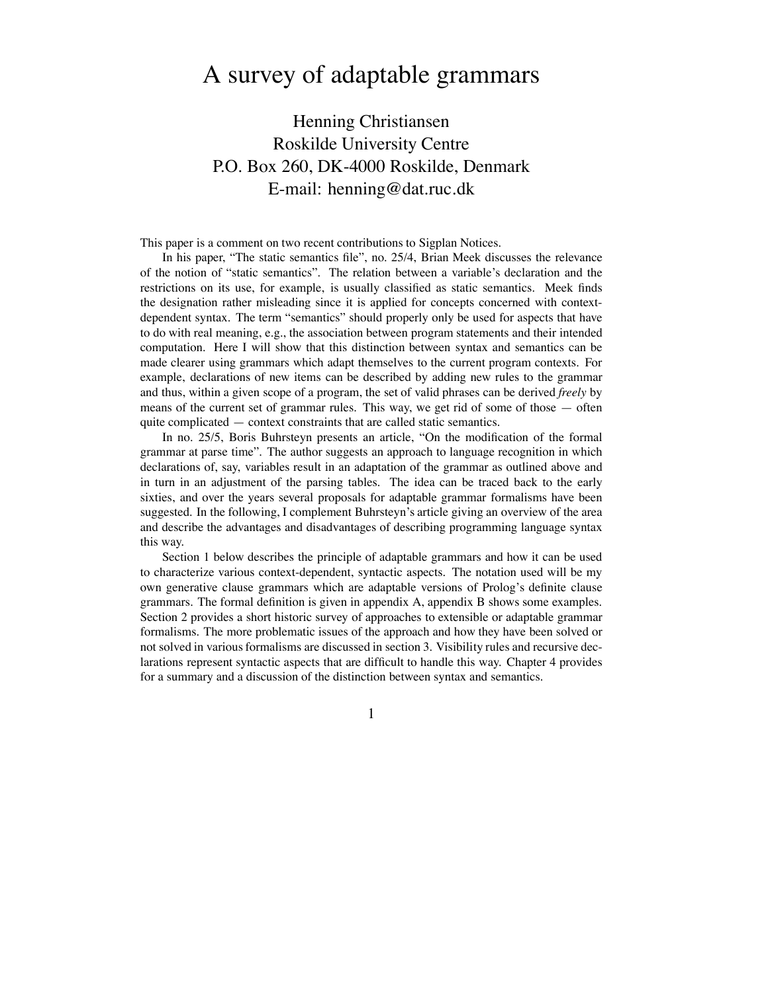# A survey of adaptable grammars

### Henning Christiansen Roskilde University Centre P.O. Box 260, DK-4000 Roskilde, Denmark E-mail: henning@dat.ruc.dk

This paper is a comment on two recent contributions to Sigplan Notices.

and thus, within a given scope of a program, the set of valid phrases can be derived *freely* by In his paper, "The static semantics file", no. 25/4, Brian Meek discusses the relevance of the notion of "static semantics". The relation between a variable's declaration and the restrictions on its use, for example, is usually classified as static semantics. Meek finds the designation rather misleading since it is applied for concepts concerned with contextdependent syntax. The term "semantics" should properly only be used for aspects that have to do with real meaning, e.g., the association between program statements and their intended computation. Here I will show that this distinction between syntax and semantics can be made clearer using grammars which adapt themselves to the current program contexts. For example, declarations of new items can be described by adding new rules to the grammar means of the current set of grammar rules. This way, we get rid of some of those  $-$  often quite complicated  $\sim$  context constraints that are called static semantics.

In no. 25/5, Boris Buhrsteyn presents an article, "On the modification of the formal grammar at parse time". The author suggests an approach to language recognition in which declarations of, say, variables result in an adaptation of the grammar as outlined above and in turn in an adjustment of the parsing tables. The idea can be traced back to the early sixties, and over the years several proposals for adaptable grammar formalisms have been suggested. In the following, I complement Buhrsteyn's article giving an overview of the area and describe the advantages and disadvantages of describing programming language syntax this way.

Section 1 below describes the principle of adaptable grammars and how it can be used to characterize various context-dependent, syntactic aspects. The notation used will be my own generative clause grammars which are adaptable versions of Prolog's definite clause grammars. The formal definition is given in appendix  $A$ , appendix  $B$  shows some examples. Section 2 provides a short historic survey of approaches to extensible or adaptable grammar formalisms. The more problematic issues of the approach and how they have been solved or not solved in various formalisms are discussed in section 3. Visibility rules and recursive declarations represent syntactic aspects that are difficult to handle this way. Chapter 4 provides for a summary and a discussion of the distinction between syntax and semantics.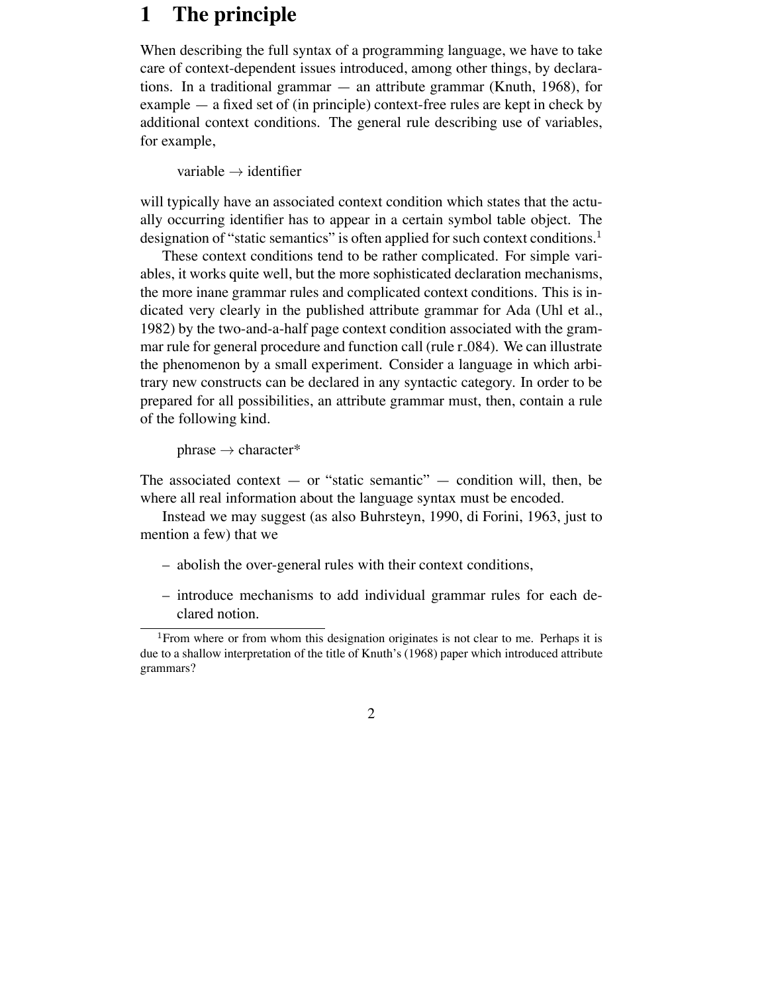## **1 The principle**

When describing the full syntax of a programming language, we have to take care of context-dependent issues introduced, among other things, by declarations. In a traditional grammar  $-$  an attribute grammar (Knuth, 1968), for example  $-$  a fixed set of (in principle) context-free rules are kept in check by additional context conditions. The general rule describing use of variables, for example,

variable  $\rightarrow$  identifier

designation of "static semantics" is often applied for such context conditions.<sup>1</sup> will typically have an associated context condition which states that the actually occurring identifier has to appear in a certain symbol table object. The

These context conditions tend to be rather complicated. For simple variables, it works quite well, but the more sophisticated declaration mechanisms, the more inane grammar rules and complicated context conditions. This is indicated very clearly in the published attribute grammar for Ada (Uhl et al., 1982) by the two-and-a-half page context condition associated with the grammar rule for general procedure and function call (rule r\_084). We can illustrate the phenomenon by a small experiment. Consider a language in which arbitrary new constructs can be declared in any syntactic category. In order to be prepared for all possibilities, an attribute grammar must, then, contain a rule of the following kind.

 $phrase \rightarrow character*$ 

The associated context  $\sim$  or "static semantic"  $\sim$  condition will, then, be where all real information about the language syntax must be encoded.

Instead we may suggest (as also Buhrsteyn, 1990, di Forini, 1963, just to mention a few) that we

- abolish the over-general rules with their context conditions,
- introduce mechanisms to add individual grammar rules for each declared notion.

<sup>&</sup>lt;sup>1</sup> From where or from whom this designation originates is not clear to me. Perhaps it is due to a shallow interpretation of the title of Knuth's (1968) paper which introduced attribute grammars?

<sup>2</sup>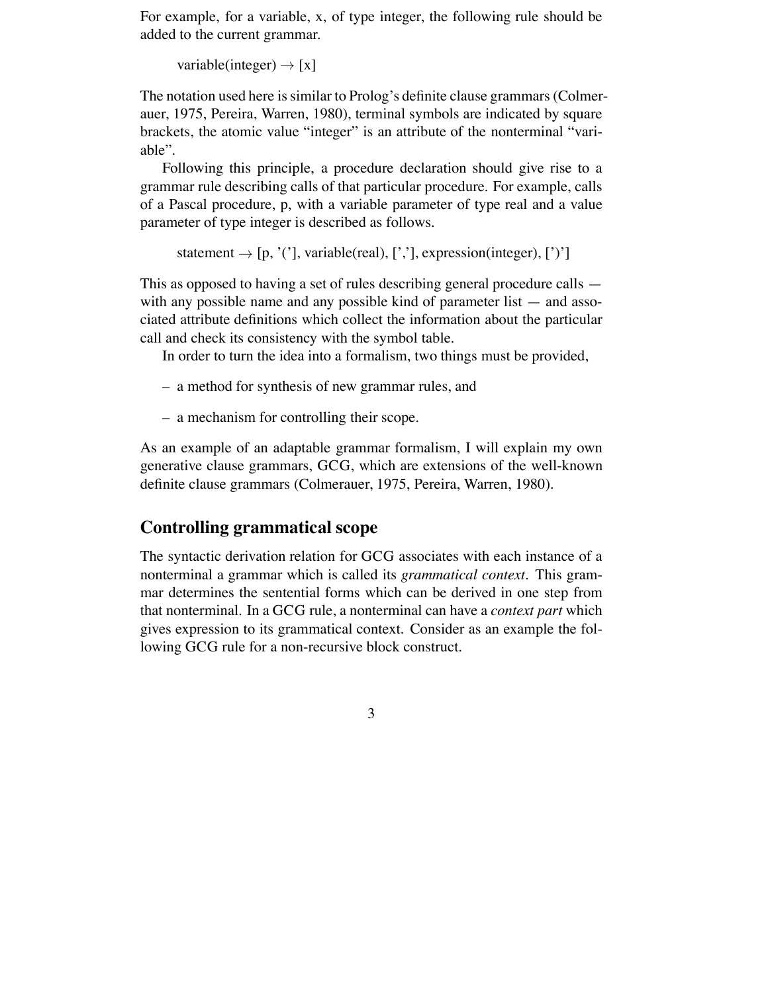For example, for a variable, x, of type integer, the following rule should be added to the current grammar.

variable(integer)  $\rightarrow$  [x]

The notation used here is similar to Prolog's definite clause grammars (Colmerauer, 1975, Pereira, Warren, 1980), terminal symbols are indicated by square brackets, the atomic value "integer" is an attribute of the nonterminal "variable".

Following this principle, a procedure declaration should give rise to a grammar rule describing calls of that particular procedure. For example, calls of a Pascal procedure, p, with a variable parameter of type real and a value parameter of type integer is described as follows.

statement  $\rightarrow$  [p, '('], variable(real), [','], expression(integer), [')']

This as opposed to having a set of rules describing general procedure calls  $$ with any possible name and any possible kind of parameter list  $-$  and associated attribute definitions which collect the information about the particular call and check its consistency with the symbol table.

In order to turn the idea into a formalism, two things must be provided,

- a method for synthesis of new grammar rules, and
- a mechanism for controlling their scope.

As an example of an adaptable grammar formalism, I will explain my own generative clause grammars, GCG, which are extensions of the well-known definite clause grammars (Colmerauer, 1975, Pereira, Warren, 1980).

#### **Controlling grammatical scope**

nonterminal a grammar which is called its *grammatical context*. This gramthat nonterminal. In a GCG rule, a nonterminal can have a *context part* which The syntactic derivation relation for GCG associates with each instance of a mar determines the sentential forms which can be derived in one step from gives expression to its grammatical context. Consider as an example the following GCG rule for a non-recursive block construct.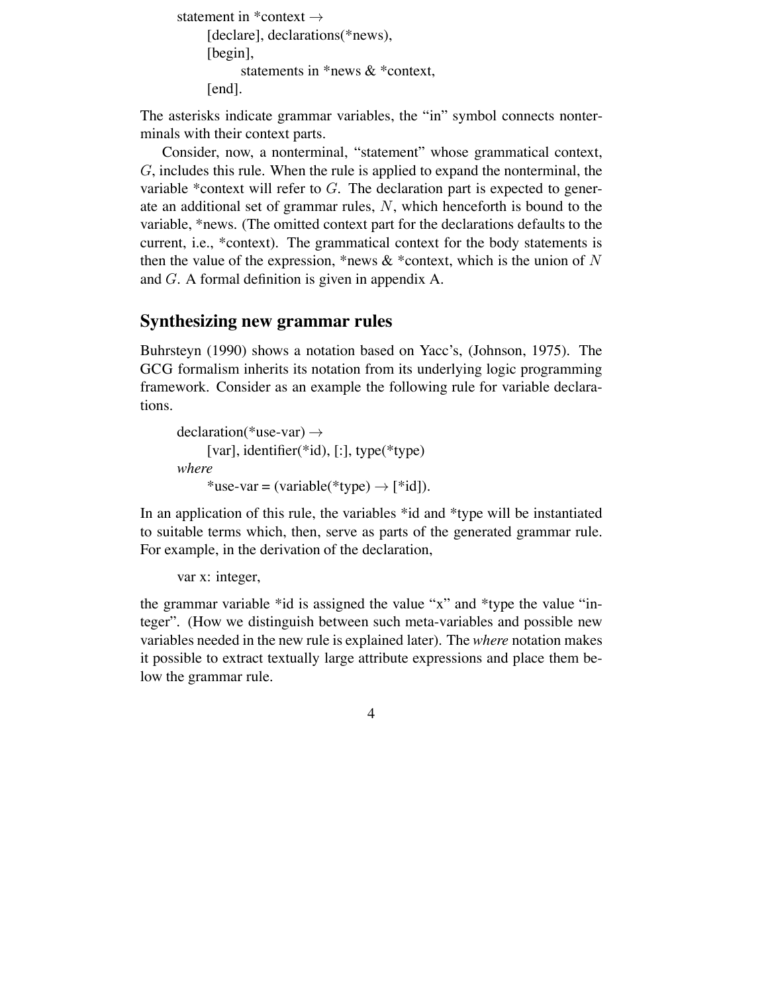```
statement in *context \rightarrow[declare], declarations(*news),
     [begin]statements in *news & *context,
     [end].
```
The asterisks indicate grammar variables, the "in" symbol connects nonterminals with their context parts.

 $G$ , includes this rule. When the rule is applied to expand the nonterminal, the variable \*context will refer to  $G$ . The declaration part is expected to generate an additional set of grammar rules,  $N$ , which henceforth is bound to the then the value of the expression, \*news  $\&$  \*context, which is the union of N and  $G$ . A formal definition is given in appendix A. Consider, now, a nonterminal, "statement" whose grammatical context, variable, \*news. (The omitted context part for the declarations defaults to the current, i.e.,  $*$  context). The grammatical context for the body statements is

#### **Synthesizing new grammar rules**

Buhrsteyn (1990) shows a notation based on Yacc's, (Johnson, 1975). The GCG formalism inherits its notation from its underlying logic programming framework. Consider as an example the following rule for variable declarations.

```
\text{declaration}(*use-var) \rightarrow*use-var = (variable(*type) \rightarrow [*id]).
where
      [var], identifier(*id), [:], type(*type)
```
In an application of this rule, the variables  $\ddot{\text{ } }$  and  $\ddot{\text{ } }$  type will be instantiated to suitable terms which, then, serve as parts of the generated grammar rule. For example, in the derivation of the declaration,

var x: integer,

variables needed in the new rule is explained later). The *where* notation makes the grammar variable \*id is assigned the value "x" and \*type the value "integer". (How we distinguish between such meta-variables and possible new it possible to extract textually large attribute expressions and place them below the grammar rule.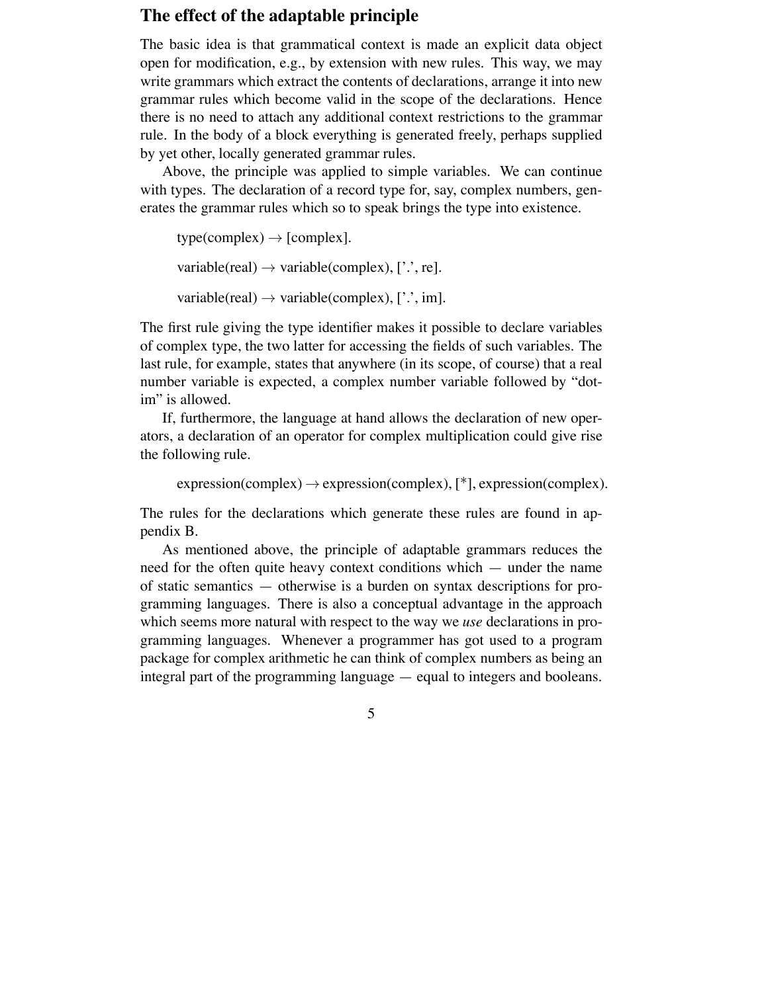### **The effect of the adaptable principle**

The basic idea is that grammatical context is made an explicit data object open for modification, e.g., by extension with new rules. This way, we may write grammars which extract the contents of declarations, arrange it into new grammar rules which become valid in the scope of the declarations. Hence there is no need to attach any additional context restrictions to the grammar rule. In the body of a block everything is generated freely, perhaps supplied by yet other, locally generated grammar rules.

Above, the principle was applied to simple variables. We can continue with types. The declaration of a record type for, say, complex numbers, generates the grammar rules which so to speak brings the type into existence.

```
type(complex) \rightarrow [complex].variable(real) \rightarrow variable(complex), ['.', re].
variable(real) \rightarrow variable(complex), ['.', im].
```
The first rule giving the type identifier makes it possible to declare variables of complex type, the two latter for accessing the fields of such variables. The last rule, for example, states that anywhere (in its scope, of course) that a real number variable is expected, a complex number variable followed by "dotim" is allowed.

If, furthermore, the language at hand allows the declaration of new operators, a declaration of an operator for complex multiplication could give rise the following rule.

 $expression(complex) \rightarrow expression(complex), [*], expression(complex).$ 

The rules for the declarations which generate these rules are found in appendix B.

which seems more natural with respect to the way we *use* declarations in pro-As mentioned above, the principle of adaptable grammars reduces the need for the often quite heavy context conditions which  $-$  under the name of static semantics  $-$  otherwise is a burden on syntax descriptions for programming languages. There is also a conceptual advantage in the approach gramming languages. Whenever a programmer has got used to a program package for complex arithmetic he can think of complex numbers as being an integral part of the programming language  $\sim$  equal to integers and booleans.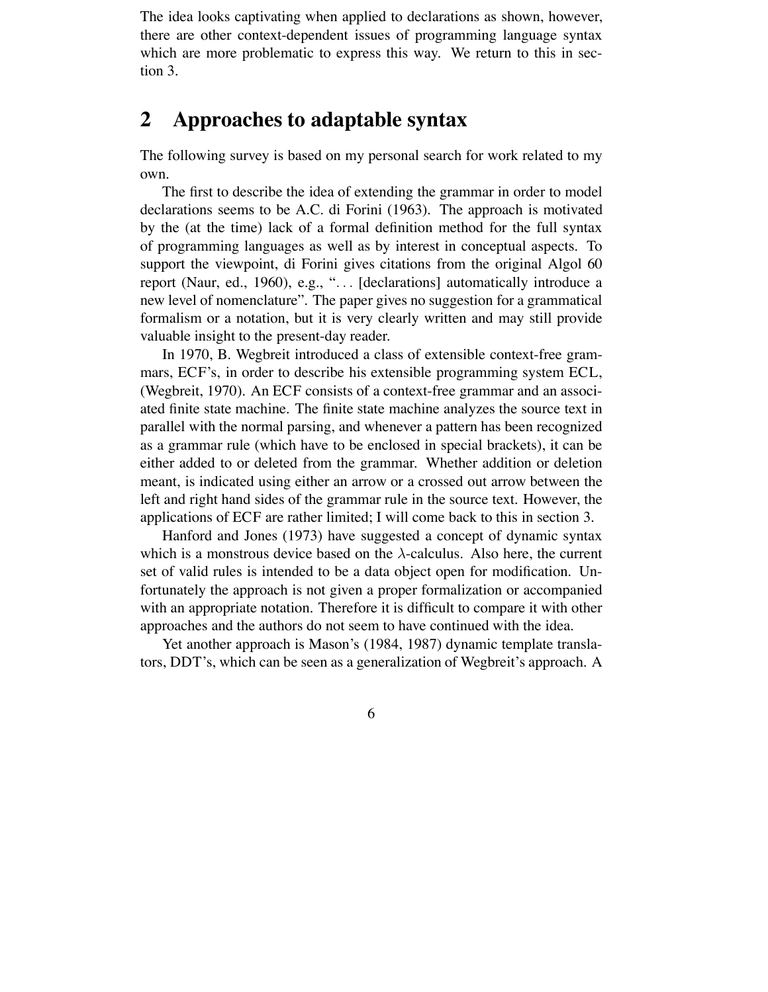The idea looks captivating when applied to declarations as shown, however, there are other context-dependent issues of programming language syntax which are more problematic to express this way. We return to this in section 3.

## **2 Approaches to adaptable syntax**

The following survey is based on my personal search for work related to my own.

report (Naur, ed., 1960), e.g., "... [declarations] automatically introduce a The first to describe the idea of extending the grammar in order to model declarations seems to be A.C. di Forini (1963). The approach is motivated by the (at the time) lack of a formal definition method for the full syntax of programming languages as well as by interest in conceptual aspects. To support the viewpoint, di Forini gives citations from the original Algol 60 new level of nomenclature". The paper gives no suggestion for a grammatical formalism or a notation, but it is very clearly written and may still provide valuable insight to the present-day reader.

In 1970, B. Wegbreit introduced a class of extensible context-free grammars, ECF's, in order to describe his extensible programming system ECL, (Wegbreit, 1970). An ECF consists of a context-free grammar and an associated finite state machine. The finite state machine analyzes the source text in parallel with the normal parsing, and whenever a pattern has been recognized as a grammar rule (which have to be enclosed in special brackets), it can be either added to or deleted from the grammar. Whether addition or deletion meant, is indicated using either an arrow or a crossed out arrow between the left and right hand sides of the grammar rule in the source text. However, the applications of ECF are rather limited; I will come back to this in section 3.

which is a monstrous device based on the  $\lambda$ -calculus. Also here, the current Hanford and Jones (1973) have suggested a concept of dynamic syntax set of valid rules is intended to be a data object open for modification. Unfortunately the approach is not given a proper formalization or accompanied with an appropriate notation. Therefore it is difficult to compare it with other approaches and the authors do not seem to have continued with the idea.

Yet another approach is Mason's (1984, 1987) dynamic template translators, DDT's, which can be seen as a generalization of Wegbreit's approach. A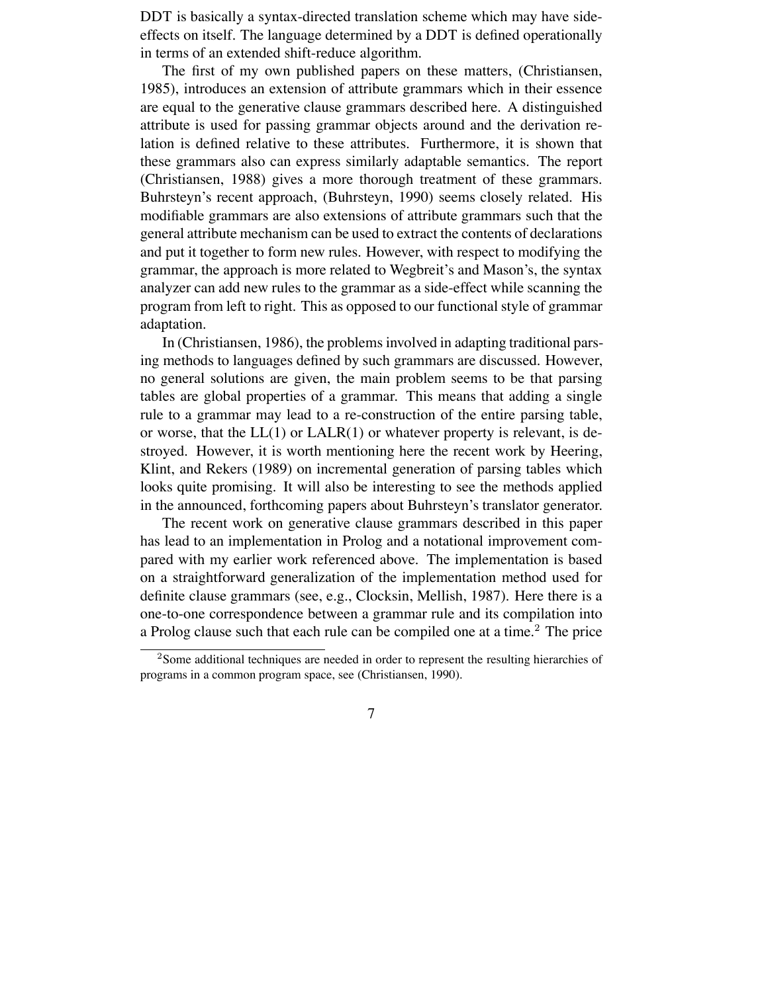DDT is basically a syntax-directed translation scheme which may have sideeffects on itself. The language determined by a DDT is defined operationally in terms of an extended shift-reduce algorithm.

The first of my own published papers on these matters, (Christiansen, 1985), introduces an extension of attribute grammars which in their essence are equal to the generative clause grammars described here. A distinguished attribute is used for passing grammar objects around and the derivation relation is defined relative to these attributes. Furthermore, it is shown that these grammars also can express similarly adaptable semantics. The report (Christiansen, 1988) gives a more thorough treatment of these grammars. Buhrsteyn's recent approach, (Buhrsteyn, 1990) seems closely related. His modifiable grammars are also extensions of attribute grammars such that the general attribute mechanism can be used to extract the contents of declarations and put it together to form new rules. However, with respect to modifying the grammar, the approach is more related to Wegbreit's and Mason's, the syntax analyzer can add new rules to the grammar as a side-effect while scanning the program from left to right. This as opposed to our functional style of grammar adaptation.

In (Christiansen, 1986), the problems involved in adapting traditional parsing methods to languages defined by such grammars are discussed. However, no general solutions are given, the main problem seems to be that parsing tables are global properties of a grammar. This means that adding a single rule to a grammar may lead to a re-construction of the entire parsing table, or worse, that the  $LL(1)$  or  $LALR(1)$  or whatever property is relevant, is destroyed. However, it is worth mentioning here the recent work by Heering, Klint, and Rekers (1989) on incremental generation of parsing tables which looks quite promising. It will also be interesting to see the methods applied in the announced, forthcoming papers about Buhrsteyn's translator generator.

a Prolog clause such that each rule can be compiled one at a time.<sup>2</sup> The price The recent work on generative clause grammars described in this paper has lead to an implementation in Prolog and a notational improvement compared with my earlier work referenced above. The implementation is based on a straightforward generalization of the implementation method used for definite clause grammars (see, e.g., Clocksin, Mellish, 1987). Here there is a one-to-one correspondence between a grammar rule and its compilation into

h

<sup>&</sup>lt;sup>2</sup>Some additional techniques are needed in order to represent the resulting hierarchies of programs in a common program space, see (Christiansen, 1990).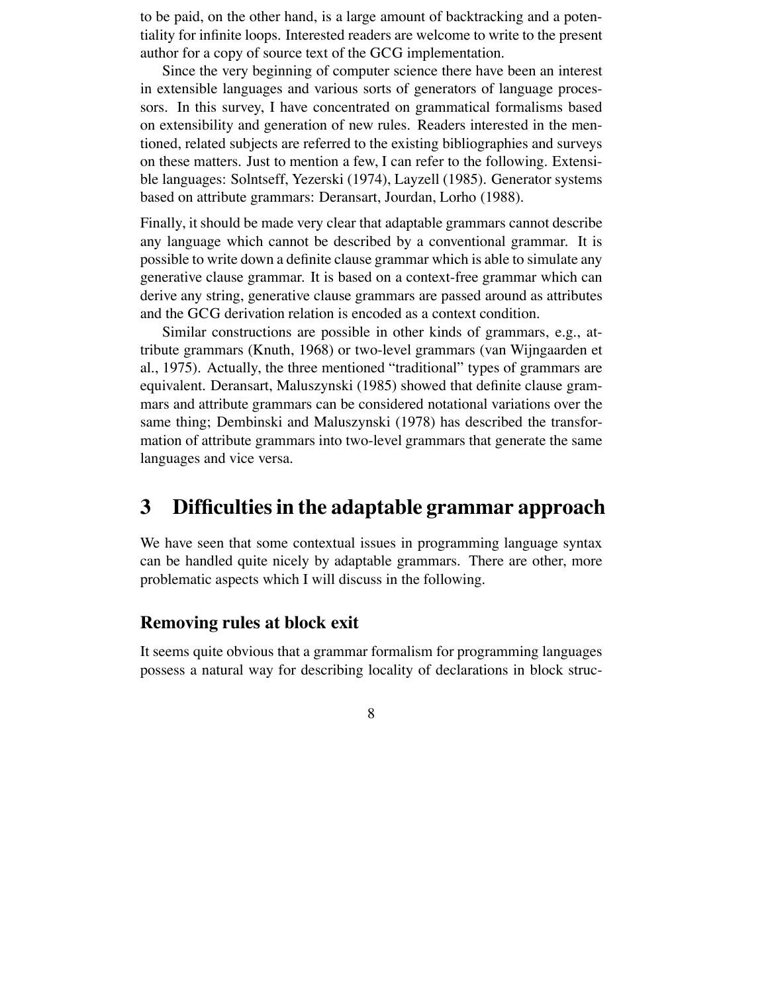to be paid, on the other hand, is a large amount of backtracking and a potentiality for infinite loops. Interested readers are welcome to write to the present author for a copy of source text of the GCG implementation.

Since the very beginning of computer science there have been an interest in extensible languages and various sorts of generators of language processors. In this survey, I have concentrated on grammatical formalisms based on extensibility and generation of new rules. Readers interested in the mentioned, related subjects are referred to the existing bibliographies and surveys on these matters. Just to mention a few, I can refer to the following. Extensible languages: Solntseff, Yezerski (1974), Layzell (1985). Generator systems based on attribute grammars: Deransart, Jourdan, Lorho (1988).

Finally, it should be made very clear that adaptable grammars cannot describe any language which cannot be described by a conventional grammar. It is possible to write down a definite clause grammar which is able to simulate any generative clause grammar. It is based on a context-free grammar which can derive any string, generative clause grammars are passed around as attributes and the GCG derivation relation is encoded as a context condition.

Similar constructions are possible in other kinds of grammars, e.g., attribute grammars (Knuth, 1968) or two-level grammars (van Wijngaarden et al., 1975). Actually, the three mentioned "traditional" types of grammars are equivalent. Deransart, Maluszynski (1985) showed that definite clause grammars and attribute grammars can be considered notational variations over the same thing; Dembinski and Maluszynski (1978) has described the transformation of attribute grammars into two-level grammars that generate the same languages and vice versa.

### **3 Difficultiesin the adaptable grammar approach**

We have seen that some contextual issues in programming language syntax can be handled quite nicely by adaptable grammars. There are other, more problematic aspects which I will discuss in the following.

#### **Removing rules at block exit**

It seems quite obvious that a grammar formalism for programming languages possess a natural way for describing locality of declarations in block struc-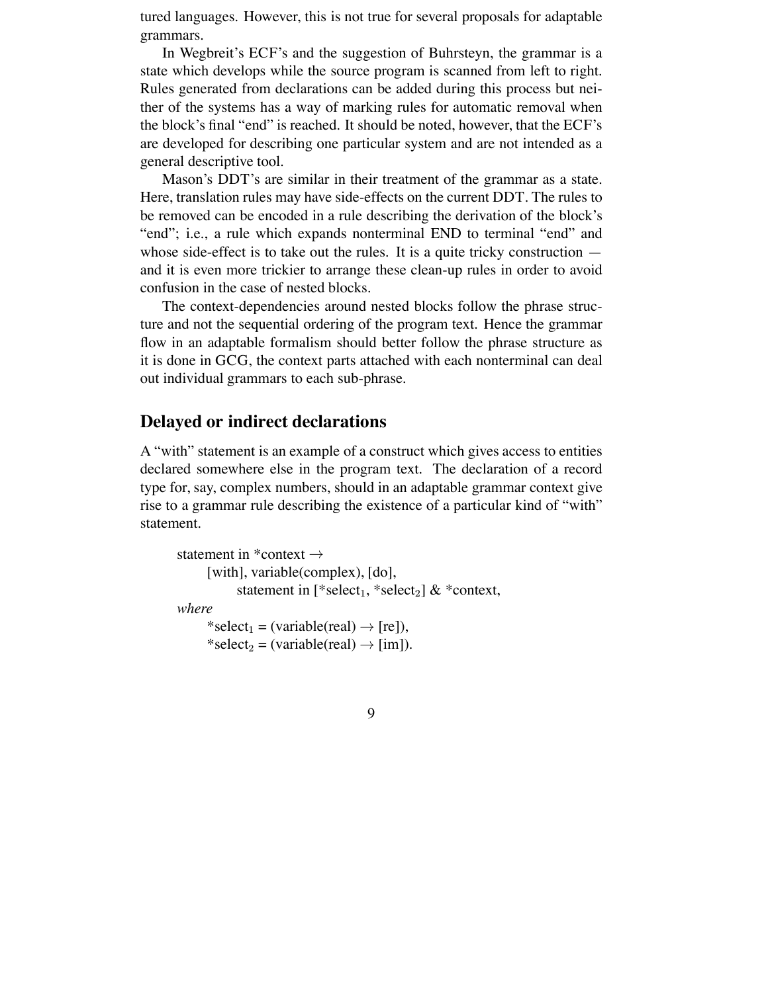tured languages. However, this is not true for several proposals for adaptable grammars.

In Wegbreit's ECF's and the suggestion of Buhrsteyn, the grammar is a state which develops while the source program is scanned from left to right. Rules generated from declarations can be added during this process but neither of the systems has a way of marking rules for automatic removal when the block's final "end" is reached. It should be noted, however, that the ECF's are developed for describing one particular system and are not intended as a general descriptive tool.

Mason's DDT's are similar in their treatment of the grammar as a state. Here, translation rules may have side-effects on the current DDT. The rules to be removed can be encoded in a rule describing the derivation of the block's "end"; i.e., a rule which expands nonterminal END to terminal "end" and whose side-effect is to take out the rules. It is a quite tricky construction  $$ and it is even more trickier to arrange these clean-up rules in order to avoid confusion in the case of nested blocks.

The context-dependencies around nested blocks follow the phrase structure and not the sequential ordering of the program text. Hence the grammar flow in an adaptable formalism should better follow the phrase structure as it is done in GCG, the context parts attached with each nonterminal can deal out individual grammars to each sub-phrase.

#### **Delayed or indirect declarations**

A "with" statement is an example of a construct which gives access to entities declared somewhere else in the program text. The declaration of a record type for, say, complex numbers, should in an adaptable grammar context give rise to a grammar rule describing the existence of a particular kind of "with" statement.

```
statement in *context \rightarrow*select<sub>1</sub> = (variable(real) \rightarrow [re]),
        *select<sub>2</sub> = (variable(real) \rightarrow [im]).
               statement in [*select<sub>1</sub>, *select<sub>2</sub>] \& *context,
where
       [with], variable(complex), \lceil \text{do} \rceil,
```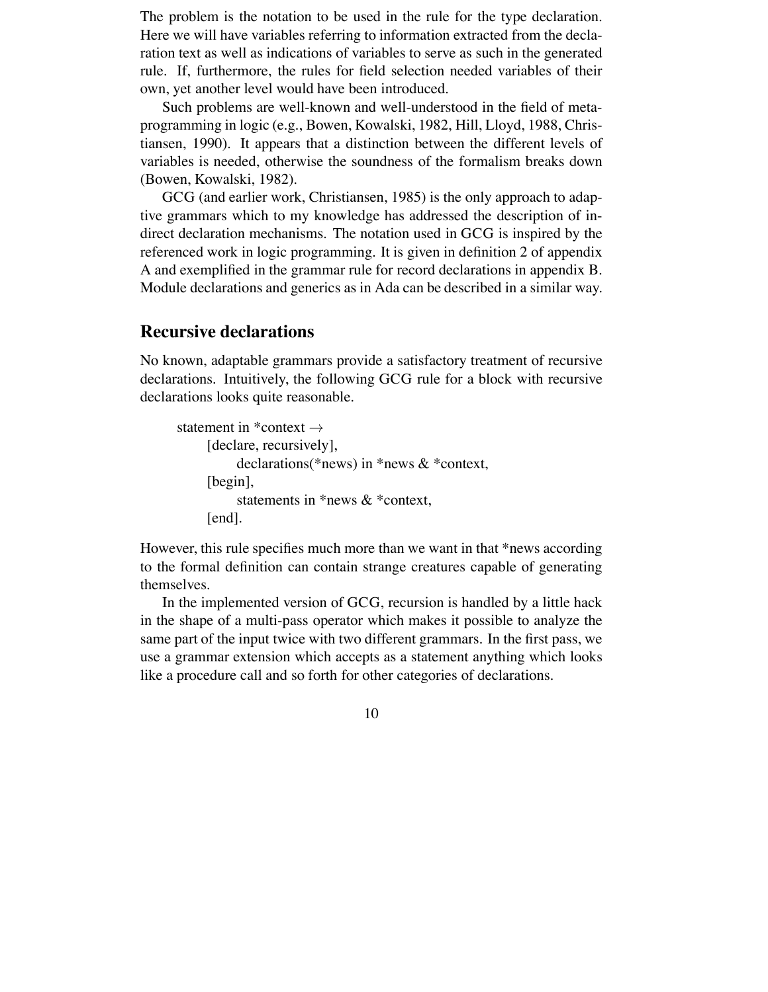The problem is the notation to be used in the rule for the type declaration. Here we will have variables referring to information extracted from the declaration text as well as indications of variables to serve as such in the generated rule. If, furthermore, the rules for field selection needed variables of their own, yet another level would have been introduced.

Such problems are well-known and well-understood in the field of metaprogramming in logic (e.g., Bowen, Kowalski, 1982, Hill, Lloyd, 1988, Christiansen, 1990). It appears that a distinction between the different levels of variables is needed, otherwise the soundness of the formalism breaks down (Bowen, Kowalski, 1982).

 $GCG$  (and earlier work, Christiansen, 1985) is the only approach to adaptive grammars which to my knowledge has addressed the description of indirect declaration mechanisms. The notation used in GCG is inspired by the referenced work in logic programming. It is given in definition 2 of appendix A and exemplified in the grammar rule for record declarations in appendix B. Module declarations and generics as in Ada can be described in a similar way.

#### **Recursive declarations**

No known, adaptable grammars provide a satisfactory treatment of recursive declarations. Intuitively, the following GCG rule for a block with recursive declarations looks quite reasonable.

```
statement in *context \rightarrow[decare, recursively],declarations(*news) in *news & *context,
    [begin]statements in *news & *context,
    [end].
```
However, this rule specifies much more than we want in that  $*$  news according to the formal definition can contain strange creatures capable of generating themselves.

In the implemented version of  $GCG$ , recursion is handled by a little hack in the shape of a multi-pass operator which makes it possible to analyze the same part of the input twice with two different grammars. In the first pass, we use a grammar extension which accepts as a statement anything which looks like a procedure call and so forth for other categories of declarations.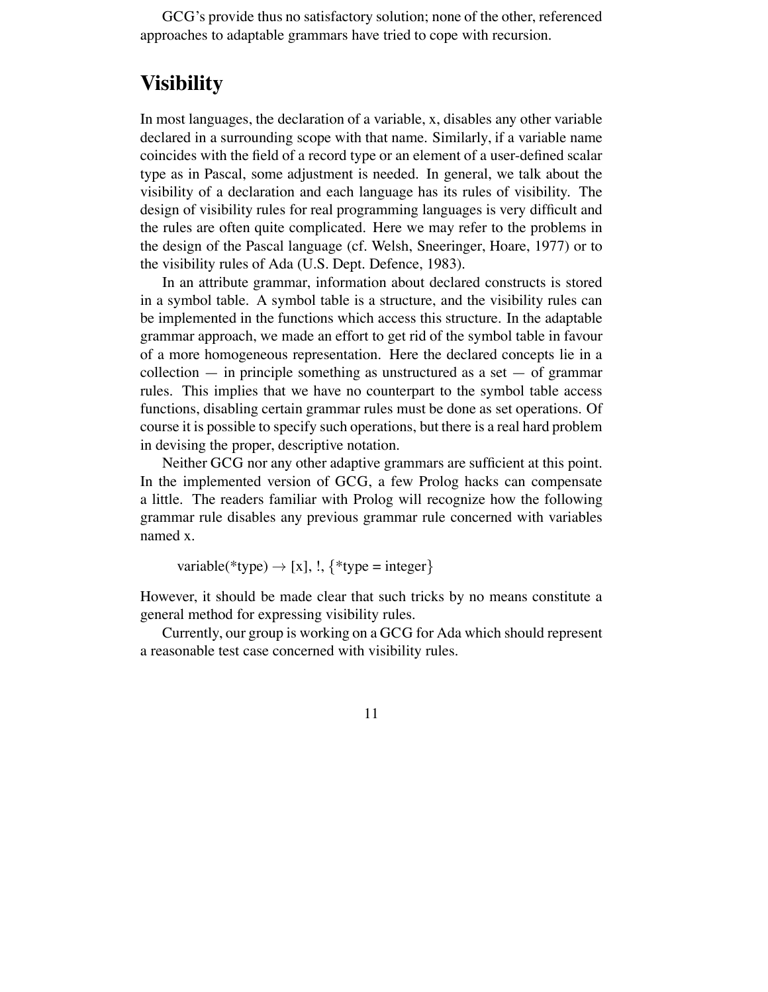GCG's provide thus no satisfactory solution; none of the other, referenced approaches to adaptable grammars have tried to cope with recursion.

## **Visibility**

In most languages, the declaration of a variable, x, disables any other variable declared in a surrounding scope with that name. Similarly, if a variable name coincides with the field of a record type or an element of a user-defined scalar type as in Pascal, some adjustment is needed. In general, we talk about the visibility of a declaration and each language has its rules of visibility. The design of visibility rules for real programming languages is very difficult and the rules are often quite complicated. Here we may refer to the problems in the design of the Pascal language (cf. Welsh, Sneeringer, Hoare, 1977) or to the visibility rules of Ada (U.S. Dept. Defence, 1983).

In an attribute grammar, information about declared constructs is stored in a symbol table. A symbol table is a structure, and the visibility rules can be implemented in the functions which access this structure. In the adaptable grammar approach, we made an effort to get rid of the symbol table in favour of a more homogeneous representation. Here the declared concepts lie in a collection  $\overline{\phantom{a}}$  in principle something as unstructured as a set  $\overline{\phantom{a}}$  of grammar rules. This implies that we have no counterpart to the symbol table access functions, disabling certain grammar rules must be done as set operations. Of course it is possible to specify such operations, but there is a real hard problem in devising the proper, descriptive notation.

Neither GCG nor any other adaptive grammars are sufficient at this point. In the implemented version of GCG, a few Prolog hacks can compensate a little. The readers familiar with Prolog will recognize how the following grammar rule disables any previous grammar rule concerned with variables named x.

variable(\*type)  $\rightarrow$  [x], !, {\*type = integer}

However, it should be made clear that such tricks by no means constitute a general method for expressing visibility rules.

Currently, our group is working on a GCG for Ada which should represent a reasonable test case concerned with visibility rules.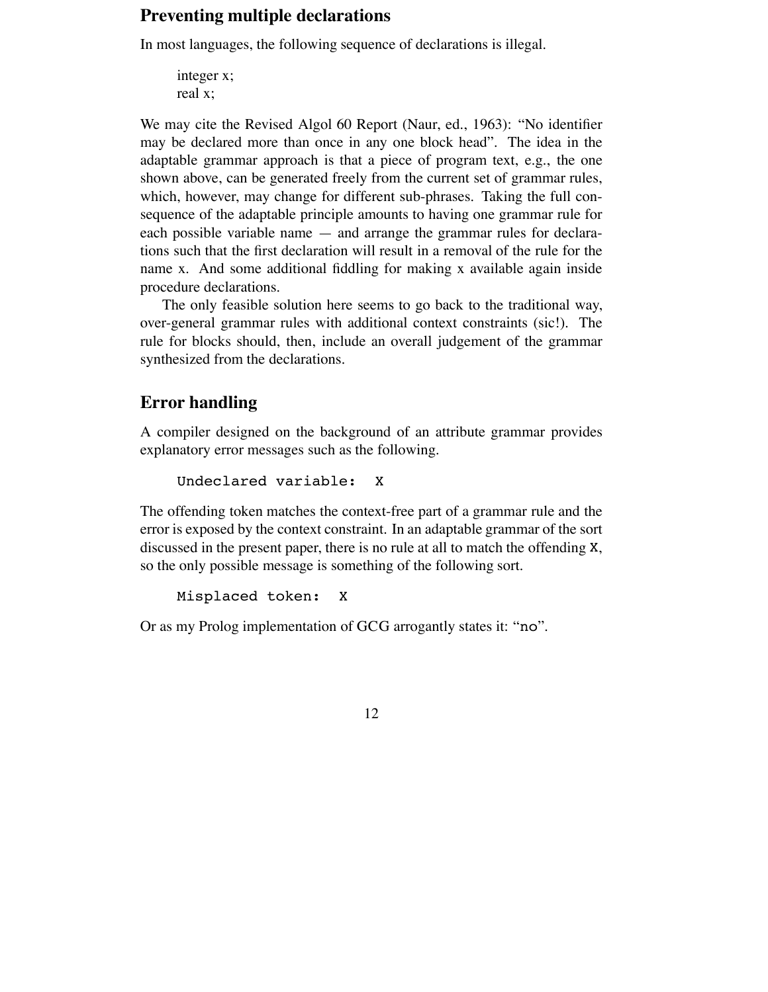### **Preventing multiple declarations**

In most languages, the following sequence of declarations is illegal.

integer  $x$ ; real x;

We may cite the Revised Algol 60 Report (Naur, ed., 1963): "No identifier may be declared more than once in any one block head". The idea in the adaptable grammar approach is that a piece of program text, e.g., the one shown above, can be generated freely from the current set of grammar rules, which, however, may change for different sub-phrases. Taking the full consequence of the adaptable principle amounts to having one grammar rule for each possible variable name  $-$  and arrange the grammar rules for declarations such that the first declaration will result in a removal of the rule for the name x. And some additional fiddling for making x available again inside procedure declarations.

The only feasible solution here seems to go back to the traditional way, over-general grammar rules with additional context constraints (sic!). The rule for blocks should, then, include an overall judgement of the grammar synthesized from the declarations.

### **Error handling**

A compiler designed on the background of an attribute grammar provides explanatory error messages such as the following.

```
Undeclared variable: X
```
discussed in the present paper, there is no rule at all to match the offending X, The offending token matches the context-free part of a grammar rule and the error is exposed by the context constraint. In an adaptable grammar of the sort so the only possible message is something of the following sort.

```
Misplaced token: X
```
Or as my Prolog implementation of GCG arrogantly states it: "no".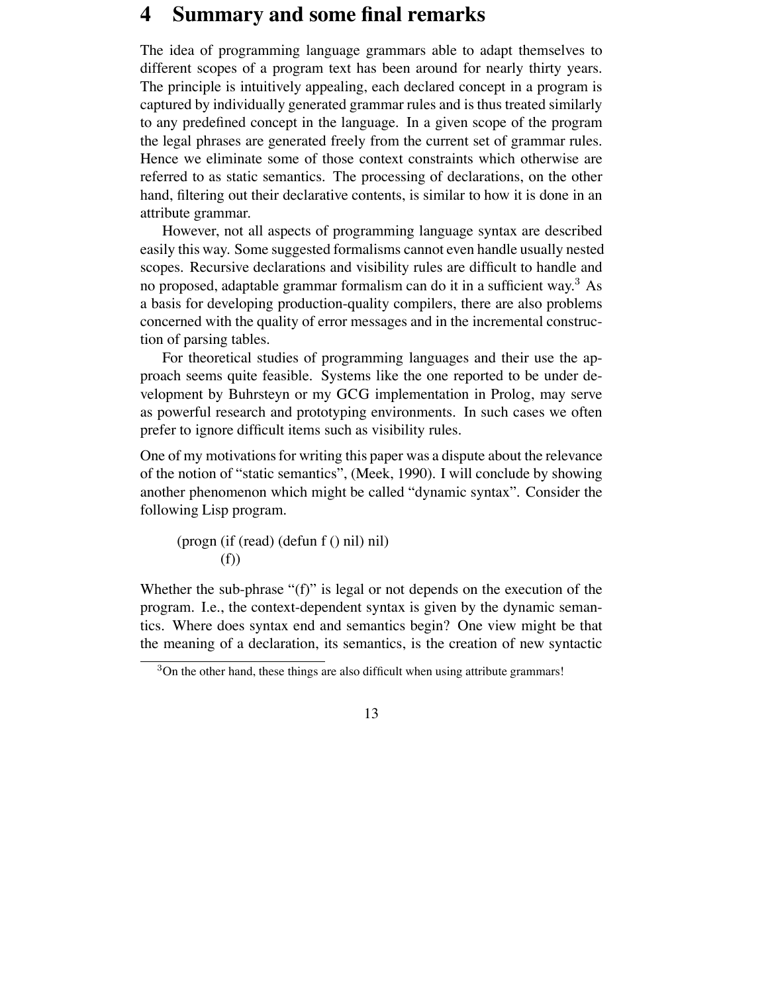### **4 Summary and some final remarks**

The idea of programming language grammars able to adapt themselves to different scopes of a program text has been around for nearly thirty years. The principle is intuitively appealing, each declared concept in a program is captured by individually generated grammar rules and is thus treated similarly to any predefined concept in the language. In a given scope of the program the legal phrases are generated freely from the current set of grammar rules. Hence we eliminate some of those context constraints which otherwise are referred to as static semantics. The processing of declarations, on the other hand, filtering out their declarative contents, is similar to how it is done in an attribute grammar.

no proposed, adaptable grammar formalism can do it in a sufficient way. $^3$  As However, not all aspects of programming language syntax are described easily this way. Some suggested formalisms cannot even handle usually nested scopes. Recursive declarations and visibility rules are difficult to handle and a basis for developing production-quality compilers, there are also problems concerned with the quality of error messages and in the incremental construction of parsing tables.

For theoretical studies of programming languages and their use the approach seems quite feasible. Systems like the one reported to be under development by Buhrsteyn or my GCG implementation in Prolog, may serve as powerful research and prototyping environments. In such cases we often prefer to ignore difficult items such as visibility rules.

One of my motivations for writing this paper was a dispute about the relevance of the notion of "static semantics", (Meek, 1990). I will conclude by showing another phenomenon which might be called "dynamic syntax". Consider the following Lisp program.

$$
\begin{array}{c}\n\text{(propen (if (read) (defun f () nil) nil)}\\
\text{(f))}\n\end{array}
$$

Whether the sub-phrase " $(f)$ " is legal or not depends on the execution of the program. I.e., the context-dependent syntax is given by the dynamic semantics. Where does syntax end and semantics begin? One view might be that the meaning of a declaration, its semantics, is the creation of new syntactic

 $3$ On the other hand, these things are also difficult when using attribute grammars!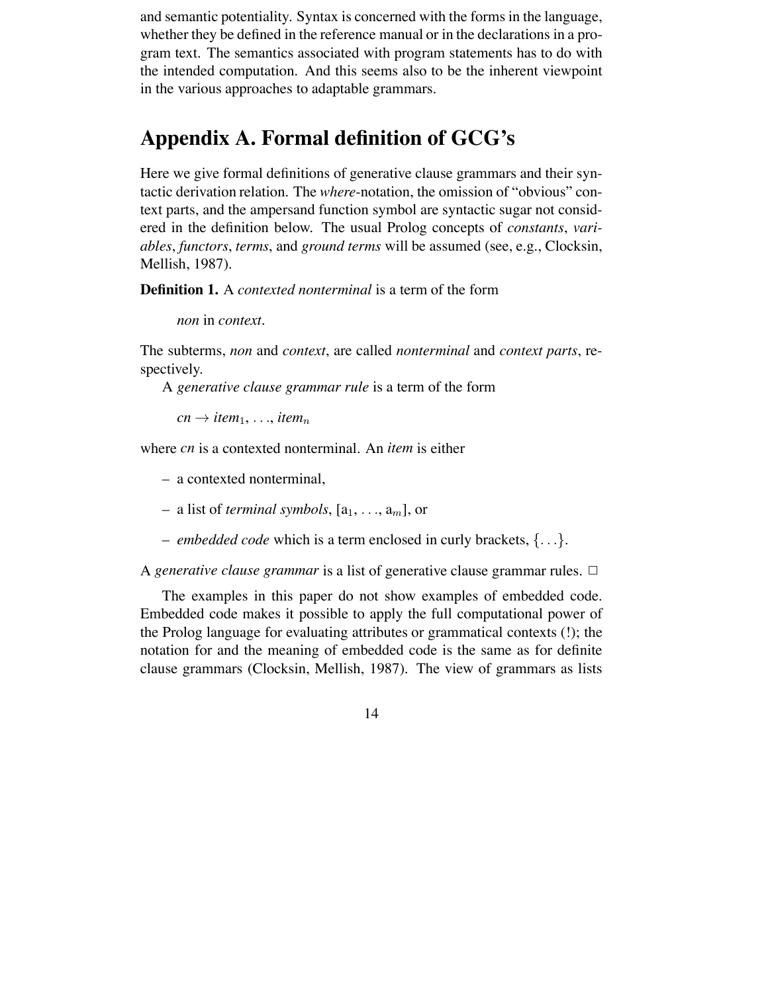and semantic potentiality. Syntax is concerned with the forms in the language, whether they be defined in the reference manual or in the declarations in a program text. The semantics associated with program statements has to do with the intended computation. And this seems also to be the inherent viewpoint in the various approaches to adaptable grammars.

### **Appendix A. Formal definition of GCG's**

tactic derivation relation. The *where*-notation, the omission of "obvious" conered in the definition below. The usual Prolog concepts of *constants*, vari*ables, functors, terms, and ground terms* will be assumed (see, e.g., Clocksin, Here we give formal definitions of generative clause grammars and their syntext parts, and the ampersand function symbol are syntactic sugar not consid-Mellish, 1987).

**Definition 1.** A *contexted nonterminal* is a term of the form

*non* in *context*.

The subterms, non and context, are called nonterminal and context parts, respectively.

A *generative clause grammar rule* is a term of the form

 $cn \rightarrow item_1, \ldots, item_n$ 

where *cn* is a contexted nonterminal. An *item* is either

 $-$  a contexted nonterminal,

 $-$  a list of *terminal symbols*,  $[a_1, \ldots, a_m]$ , or

 $-$  *embedded code* which is a term enclosed in curly brackets,  $\{ \ldots \}.$ 

A *generative clause grammar* is a list of generative clause grammar rules.  $\Box$ 

The examples in this paper do not show examples of embedded code. Embedded code makes it possible to apply the full computational power of the Prolog language for evaluating attributes or grammatical contexts  $(!)$ ; the notation for and the meaning of embedded code is the same as for definite clause grammars (Clocksin, Mellish, 1987). The view of grammars as lists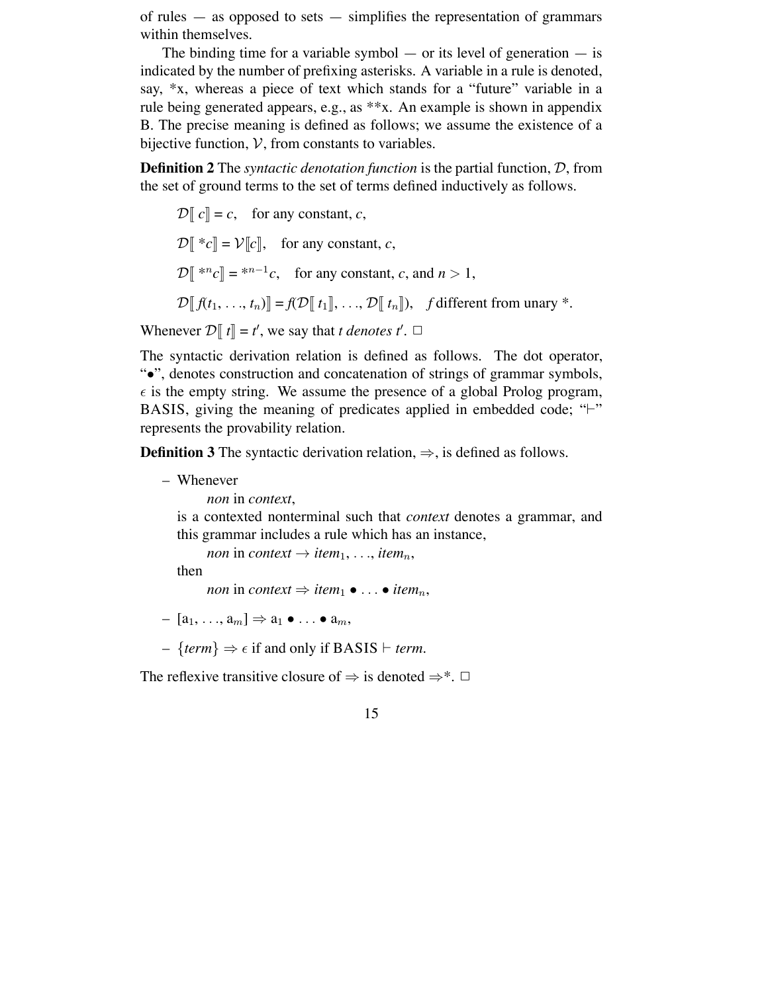of rules  $-$  as opposed to sets  $-$  simplifies the representation of grammars within themselves.

bijective function,  $V$ , from constants to variables. The binding time for a variable symbol  $-$  or its level of generation  $-$  is indicated by the number of prefixing asterisks. A variable in a rule is denoted, say,  $*x$ , whereas a piece of text which stands for a "future" variable in a rule being generated appears, e.g., as \*\* $x$ . An example is shown in appendix B. The precise meaning is defined as follows; we assume the existence of a

**Definition 2** The *syntactic denotation function* is the partial function, D, from the set of ground terms to the set of terms defined inductively as follows.

$$
\mathcal{D}[[c]] = c, \text{ for any constant, } c,
$$
  
\n
$$
\mathcal{D}[[*c]] = \mathcal{V}[[c]], \text{ for any constant, } c,
$$
  
\n
$$
\mathcal{D}[[*^nc]] = {}^{*n-1}c, \text{ for any constant, } c, \text{ and } n > 1,
$$
  
\n
$$
\mathcal{D}[[f(t_1, ..., t_n)]] = f(\mathcal{D}[[t_1]], ..., \mathcal{D}[[t_n]], f \text{ different from unary *}.
$$

Whenever  $D[$   $t]$  =  $t'$ , we say that  $t$  *denotes*  $t'$ .  $\Box$ 

 $\epsilon$  is the empty string. We assume the presence of a global Prolog program, ". denotes construction and concatenation of strings of grammar symbols, BASIS, giving the meaning of predicates applied in embedded code; "-" The syntactic derivation relation is defined as follows. The dot operator, represents the provability relation.

**Definition 3** The syntactic derivation relation,  $\Rightarrow$ , is defined as follows.

- Whenever

*non* in *context*,

is a contexted nonterminal such that *context* denotes a grammar, and this grammar includes a rule which has an instance,

 $\mathit{non}$  in context  $\rightarrow$  *item*<sub>1</sub>, . . . , *item*<sub>n</sub>,

then

*non* in context  $\Rightarrow$  *item*<sub>1</sub>  $\bullet \dots \bullet$  *item*<sub>n</sub>,

- $[a_1, ..., a_m] \Rightarrow a_1 \bullet ... \bullet a_m$
- $-$  {*term*}  $\Rightarrow$  *∈* if and only if BASIS  $\vdash$  *term*.

The reflexive transitive closure of  $\Rightarrow$  is denoted  $\Rightarrow^*$ .  $\Box$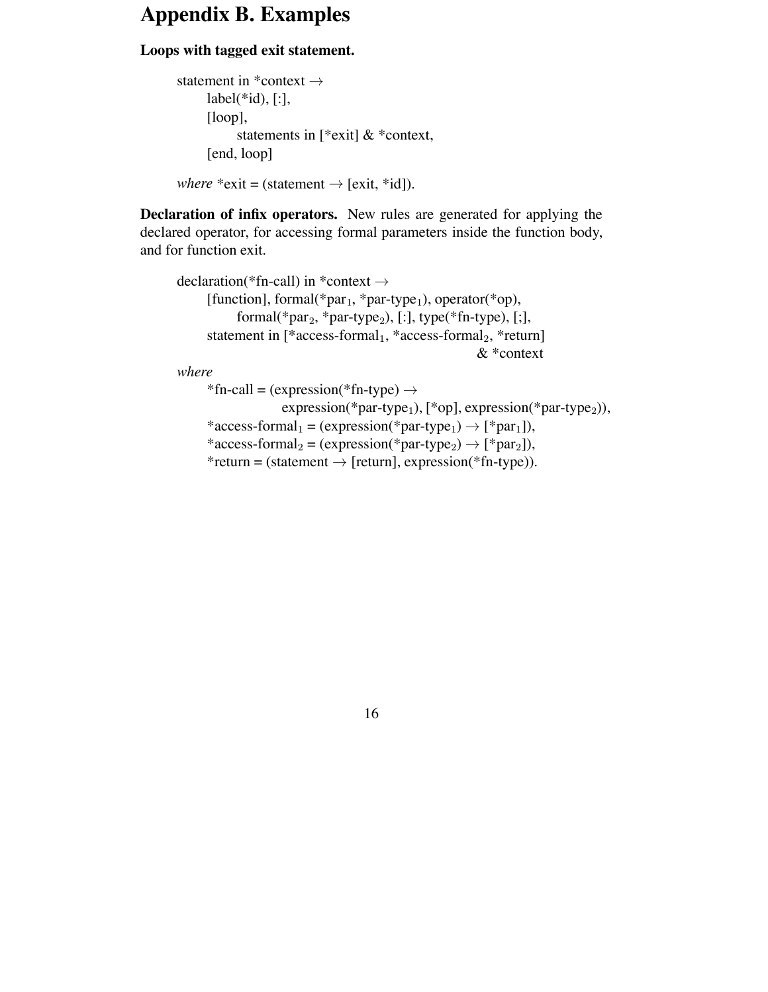## **Appendix B. Examples**

#### **Loops with tagged exit statement.**

```
statement in *context \rightarrowwhere *\text{exit} = (\text{statement} \rightarrow [\text{exit}, * \text{id}]).label(*id), [\cdot],
      [loop],statements in [*exit] \& *context,
      [end, loop]
```
**Declaration of infix operators.** New rules are generated for applying the declared operator, for accessing formal parameters inside the function body, and for function exit.

```
declaration(*fn-call) in *context \rightarrow[function], formal(*par<sub>1</sub>, *par-type<sub>1</sub>), operator(*op),
             formal(*par<sub>2</sub>, *par-type<sub>2</sub>), [:], type(*fn-type), [;],
       statement in [*access-formal<sub>1</sub>, *access-formal<sub>2</sub>, *return]
                                                                     & *context
```
16

*where*

```
*fn-call = (expression(*fn-type) \rightarrow*access-formal<sub>1</sub> = (expression(*par-type<sub>1</sub>) \rightarrow [*par<sub>1</sub>]),
*access-formal<sub>2</sub> = (expression(*par-type<sub>2</sub>) \rightarrow [*par<sub>2</sub>]),
*return = (statement \rightarrow [return], expression(*fn-type)).
                  expression(*par-type<sub>1</sub>),[*op], expression(*par-type<sub>2</sub>),
```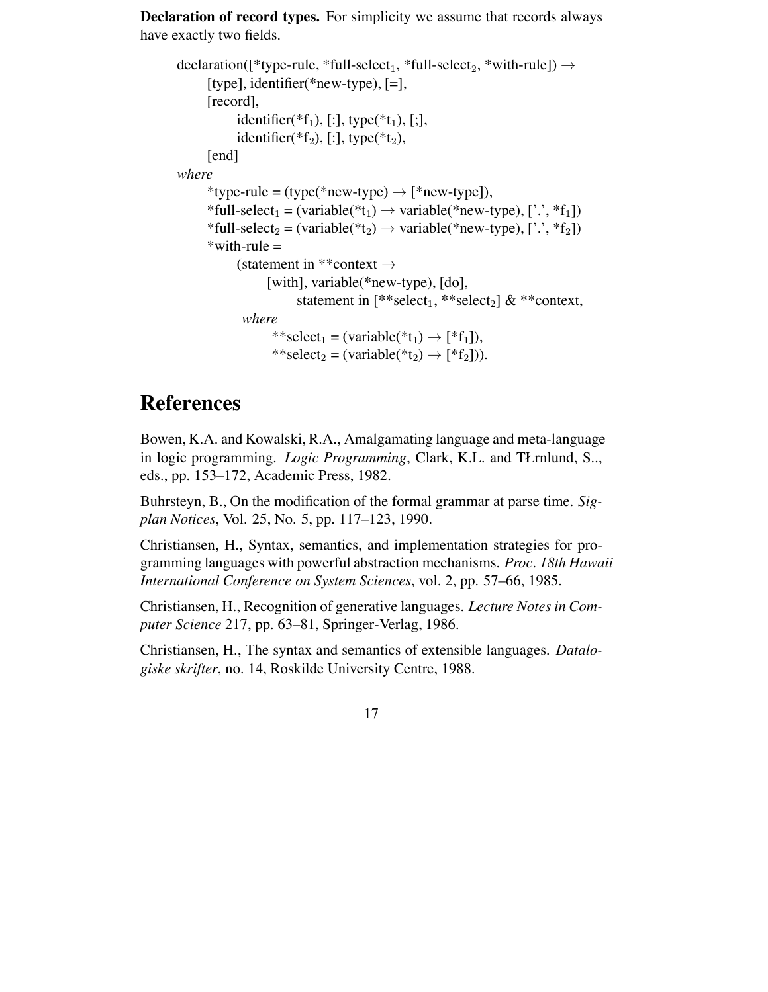**Declaration of record types.** For simplicity we assume that records always have exactly two fields.

```
declaration([*type-rule, *full-select<sub>1</sub>, *full-select<sub>2</sub>, *with-rule]) \rightarrow*type-rule = (type(*new-type) \rightarrow [*new-type]),
       *full-select<sub>1</sub> = (variable(*t<sub>1</sub>) \rightarrow variable(*new-type), ['.', *f<sub>1</sub>])
       *full-select<sub>2</sub> = (variable(*t<sub>2</sub>) \rightarrow variable(*new-type), ['.', *f<sub>2</sub>])
               (statement in **context \rightarrow**select<sub>1</sub> = (variable(*t<sub>1</sub>) \rightarrow [*f<sub>1</sub>]),
                        **select<sub>2</sub> = (variable(*t<sub>2</sub>) \rightarrow [*f<sub>2</sub>])).
               identifier(*f_1), [:], type(*t_1), [;],
               identifier({}^*f_2), [:], type({}^*t_2),
                              statement in [**select<sub>1</sub>, **select<sub>2</sub>] & **context,
where
                where
       [type], identifier(*new-type), [=],
       [record].
       [end]
       *with-rule =[with], variable(*new-type), [do],
```
## **References**

in logic programming. *Logic Programming*, Clark, K.L. and TŁrnlund, S.., Bowen, K.A. and Kowalski, R.A., Amalgamating language and meta-language eds., pp. 153–172, Academic Press, 1982.

Buhrsteyn, B., On the modification of the formal grammar at parse time. Sig*plan Notices*, Vol. 25, No. 5, pp. 117–123, 1990.

*Proc. 18th Hawaii* gramming languages with powerful abstraction mechanisms. *International Conference on System Sciences*, vol. 2, pp. 57–66, 1985. Christiansen, H., Syntax, semantics, and implementation strategies for pro-

Christiansen, H., Recognition of generative languages. Lecture Notes in Computer Science 217, pp. 63–81, Springer-Verlag, 1986.

Christiansen, H., The syntax and semantics of extensible languages. Datalogiske skrifter, no. 14, Roskilde University Centre, 1988.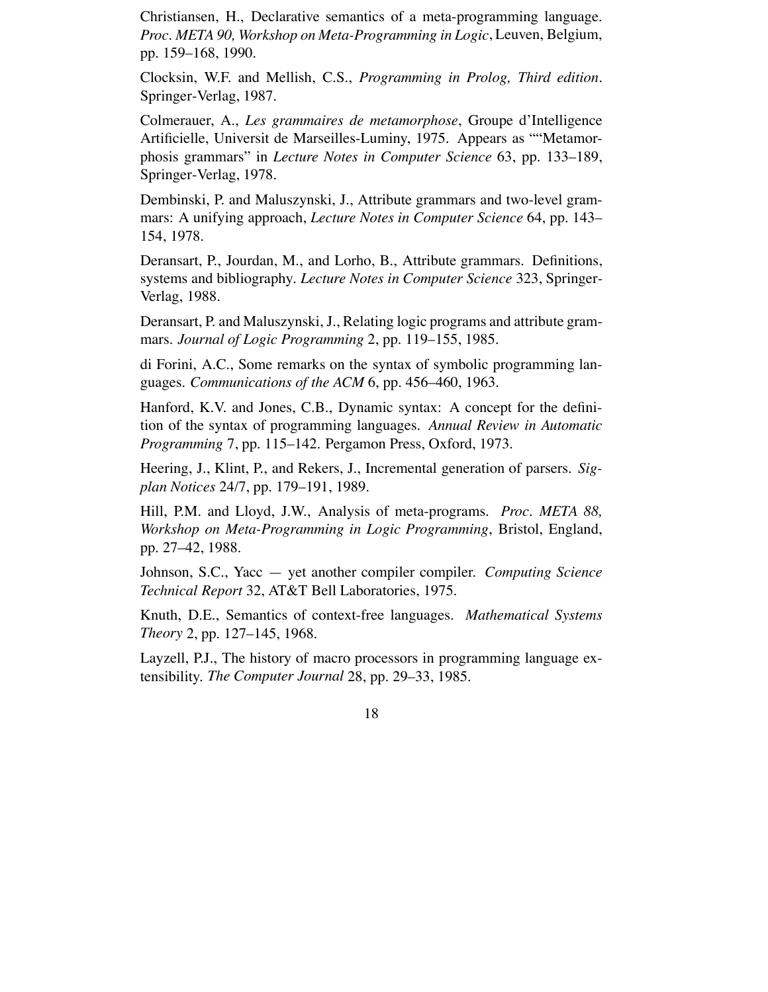*Proc. META 90, Workshop on Meta-Programming in Logic,* Leuven, Belgium, Christiansen, H., Declarative semantics of a meta-programming language. pp. 159–168, 1990.

*Programming in Prolog, Third edition.* Springer-Verlag, 1987.

Colmerauer, A., Les grammaires de metamorphose, Groupe d'Intelligence phosis grammars" in *Lecture Notes in Computer Science* 63, pp. 133–189, Artificielle, Universit de Marseilles-Luminy, 1975. Appears as ""Metamor-Springer-Verlag, 1978.

mars: A unifying approach, *Lecture Notes in Computer Science* 64, pp. 143– Dembinski, P. and Maluszynski, J., Attribute grammars and two-level gram-154, 1978.

systems and bibliography. Lecture Notes in Computer Science 323, Springer-Deransart, P., Jourdan, M., and Lorho, B., Attribute grammars. Definitions, Verlag, 1988.

mars. *Journal of Logic Programming* 2, pp. 119–155, 1985. Deransart, P. and Maluszynski, J., Relating logic programs and attribute gram-

guages. *Communications of the ACM* 6, pp. 456–460, 1963. di Forini, A.C., Some remarks on the syntax of symbolic programming lan-

*Annual Review in Automatic* tion of the syntax of programming languages. Programming 7, pp. 115-142. Pergamon Press, Oxford, 1973. Hanford, K.V. and Jones, C.B., Dynamic syntax: A concept for the defini-

Heering, J., Klint, P., and Rekers, J., Incremental generation of parsers. Sig*plan Notices* 24/7, pp. 179–191, 1989.

Hill, P.M. and Lloyd, J.W., Analysis of meta-programs. Proc. META 88, Workshop on Meta-Programming in Logic Programming, Bristol, England, pp. 27–42, 1988.

Johnson, S.C., Yacc — yet another compiler compiler. Computing Science Technical Report 32, AT&T Bell Laboratories, 1975.

Knuth, D.E., Semantics of context-free languages. *Mathematical Systems Theory* 2, pp. 127–145, 1968.

tensibility. *The Computer Journal* 28, pp. 29–33, 1985. Layzell, P.J., The history of macro processors in programming language ex-